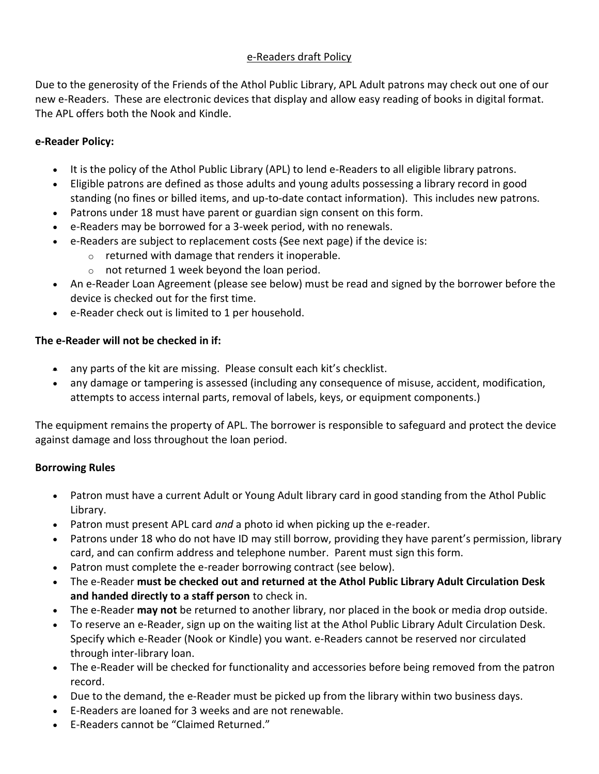# e-Readers draft Policy

Due to the generosity of the Friends of the Athol Public Library, APL Adult patrons may check out one of our new e-Readers. These are electronic devices that display and allow easy reading of books in digital format. The APL offers both the Nook and Kindle.

# **e-Reader Policy:**

- It is the policy of the Athol Public Library (APL) to lend e-Readers to all eligible library patrons.
- Eligible patrons are defined as those adults and young adults possessing a library record in good standing (no fines or billed items, and up-to-date contact information). This includes new patrons.
- Patrons under 18 must have parent or guardian sign consent on this form.
- e-Readers may be borrowed for a 3-week period, with no renewals.
- e-Readers are subject to replacement costs (See next page) if the device is:
	- o returned with damage that renders it inoperable.
	- o not returned 1 week beyond the loan period.
- An e-Reader Loan Agreement (please see below) must be read and signed by the borrower before the device is checked out for the first time.
- e-Reader check out is limited to 1 per household.

# **The e-Reader will not be checked in if:**

- any parts of the kit are missing. Please consult each kit's checklist.
- any damage or tampering is assessed (including any consequence of misuse, accident, modification, attempts to access internal parts, removal of labels, keys, or equipment components.)

The equipment remains the property of APL. The borrower is responsible to safeguard and protect the device against damage and loss throughout the loan period.

# **Borrowing Rules**

- Patron must have a current Adult or Young Adult library card in good standing from the Athol Public Library.
- Patron must present APL card *and* a photo id when picking up the e-reader.
- Patrons under 18 who do not have ID may still borrow, providing they have parent's permission, library card, and can confirm address and telephone number. Parent must sign this form.
- Patron must complete the e-reader borrowing contract (see below).
- The e-Reader **must be checked out and returned at the Athol Public Library Adult Circulation Desk and handed directly to a staff person** to check in.
- The e-Reader **may not** be returned to another library, nor placed in the book or media drop outside.
- To reserve an e-Reader, sign up on the waiting list at the Athol Public Library Adult Circulation Desk. Specify which e-Reader (Nook or Kindle) you want. e-Readers cannot be reserved nor circulated through inter-library loan.
- The e-Reader will be checked for functionality and accessories before being removed from the patron record.
- Due to the demand, the e-Reader must be picked up from the library within two business days.
- E-Readers are loaned for 3 weeks and are not renewable.
- E-Readers cannot be "Claimed Returned."